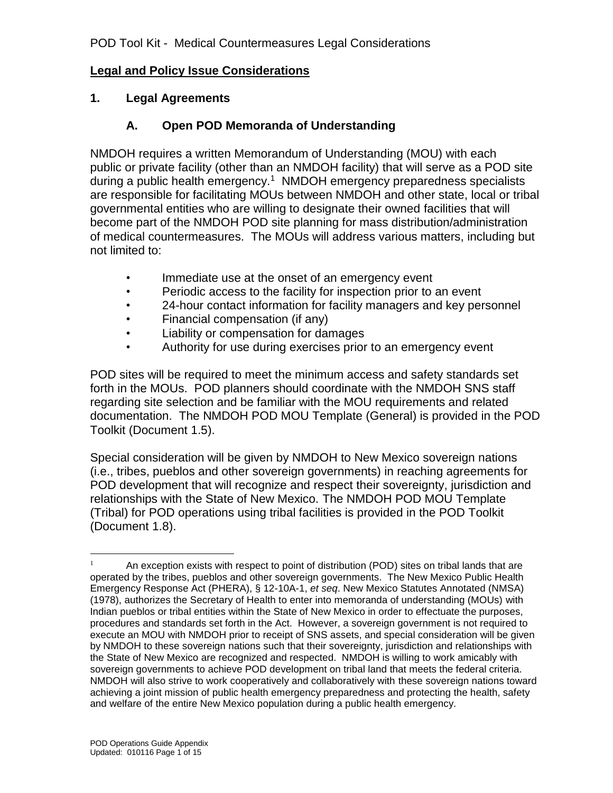#### **Legal and Policy Issue Considerations**

#### **1. Legal Agreements**

#### **A. Open POD Memoranda of Understanding**

NMDOH requires a written Memorandum of Understanding (MOU) with each public or private facility (other than an NMDOH facility) that will serve as a POD site during a public health emergency.<sup>1</sup> NMDOH emergency preparedness specialists are responsible for facilitating MOUs between NMDOH and other state, local or tribal governmental entities who are willing to designate their owned facilities that will become part of the NMDOH POD site planning for mass distribution/administration of medical countermeasures. The MOUs will address various matters, including but not limited to:

- Immediate use at the onset of an emergency event
- Periodic access to the facility for inspection prior to an event
- 24-hour contact information for facility managers and key personnel
- Financial compensation (if any)
- Liability or compensation for damages
- Authority for use during exercises prior to an emergency event

POD sites will be required to meet the minimum access and safety standards set forth in the MOUs. POD planners should coordinate with the NMDOH SNS staff regarding site selection and be familiar with the MOU requirements and related documentation. The NMDOH POD MOU Template (General) is provided in the POD Toolkit (Document 1.5).

Special consideration will be given by NMDOH to New Mexico sovereign nations (i.e., tribes, pueblos and other sovereign governments) in reaching agreements for POD development that will recognize and respect their sovereignty, jurisdiction and relationships with the State of New Mexico. The NMDOH POD MOU Template (Tribal) for POD operations using tribal facilities is provided in the POD Toolkit (Document 1.8).

 $\overline{a}$ 

 $1$  An exception exists with respect to point of distribution (POD) sites on tribal lands that are operated by the tribes, pueblos and other sovereign governments. The New Mexico Public Health Emergency Response Act (PHERA), § 12-10A-1, *et seq*. New Mexico Statutes Annotated (NMSA) (1978), authorizes the Secretary of Health to enter into memoranda of understanding (MOUs) with Indian pueblos or tribal entities within the State of New Mexico in order to effectuate the purposes, procedures and standards set forth in the Act. However, a sovereign government is not required to execute an MOU with NMDOH prior to receipt of SNS assets, and special consideration will be given by NMDOH to these sovereign nations such that their sovereignty, jurisdiction and relationships with the State of New Mexico are recognized and respected. NMDOH is willing to work amicably with sovereign governments to achieve POD development on tribal land that meets the federal criteria. NMDOH will also strive to work cooperatively and collaboratively with these sovereign nations toward achieving a joint mission of public health emergency preparedness and protecting the health, safety and welfare of the entire New Mexico population during a public health emergency.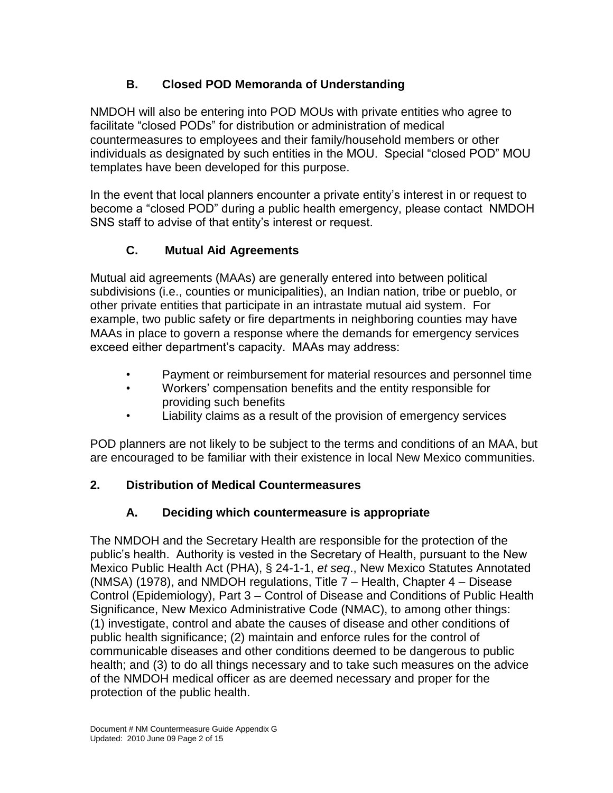# **B. Closed POD Memoranda of Understanding**

NMDOH will also be entering into POD MOUs with private entities who agree to facilitate "closed PODs" for distribution or administration of medical countermeasures to employees and their family/household members or other individuals as designated by such entities in the MOU. Special "closed POD" MOU templates have been developed for this purpose.

In the event that local planners encounter a private entity's interest in or request to become a "closed POD" during a public health emergency, please contact NMDOH SNS staff to advise of that entity's interest or request.

# **C. Mutual Aid Agreements**

Mutual aid agreements (MAAs) are generally entered into between political subdivisions (i.e., counties or municipalities), an Indian nation, tribe or pueblo, or other private entities that participate in an intrastate mutual aid system. For example, two public safety or fire departments in neighboring counties may have MAAs in place to govern a response where the demands for emergency services exceed either department's capacity. MAAs may address:

- Payment or reimbursement for material resources and personnel time
- Workers' compensation benefits and the entity responsible for providing such benefits
- Liability claims as a result of the provision of emergency services

POD planners are not likely to be subject to the terms and conditions of an MAA, but are encouraged to be familiar with their existence in local New Mexico communities.

# **2. Distribution of Medical Countermeasures**

# **A. Deciding which countermeasure is appropriate**

The NMDOH and the Secretary Health are responsible for the protection of the public's health. Authority is vested in the Secretary of Health, pursuant to the New Mexico Public Health Act (PHA), § 24-1-1, *et seq*., New Mexico Statutes Annotated (NMSA) (1978), and NMDOH regulations, Title 7 – Health, Chapter 4 – Disease Control (Epidemiology), Part 3 – Control of Disease and Conditions of Public Health Significance, New Mexico Administrative Code (NMAC), to among other things: (1) investigate, control and abate the causes of disease and other conditions of public health significance; (2) maintain and enforce rules for the control of communicable diseases and other conditions deemed to be dangerous to public health; and (3) to do all things necessary and to take such measures on the advice of the NMDOH medical officer as are deemed necessary and proper for the protection of the public health.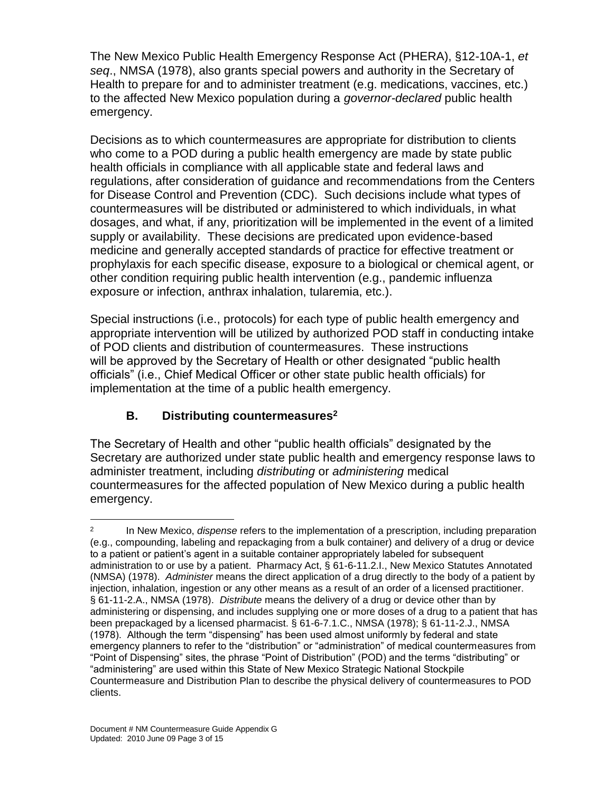The New Mexico Public Health Emergency Response Act (PHERA), §12-10A-1, *et seq*., NMSA (1978), also grants special powers and authority in the Secretary of Health to prepare for and to administer treatment (e.g. medications, vaccines, etc.) to the affected New Mexico population during a *governor-declared* public health emergency.

Decisions as to which countermeasures are appropriate for distribution to clients who come to a POD during a public health emergency are made by state public health officials in compliance with all applicable state and federal laws and regulations, after consideration of guidance and recommendations from the Centers for Disease Control and Prevention (CDC). Such decisions include what types of countermeasures will be distributed or administered to which individuals, in what dosages, and what, if any, prioritization will be implemented in the event of a limited supply or availability. These decisions are predicated upon evidence-based medicine and generally accepted standards of practice for effective treatment or prophylaxis for each specific disease, exposure to a biological or chemical agent, or other condition requiring public health intervention (e.g., pandemic influenza exposure or infection, anthrax inhalation, tularemia, etc.).

Special instructions (i.e., protocols) for each type of public health emergency and appropriate intervention will be utilized by authorized POD staff in conducting intake of POD clients and distribution of countermeasures. These instructions will be approved by the Secretary of Health or other designated "public health officials" (i.e., Chief Medical Officer or other state public health officials) for implementation at the time of a public health emergency.

# **B. Distributing countermeasures<sup>2</sup>**

The Secretary of Health and other "public health officials" designated by the Secretary are authorized under state public health and emergency response laws to administer treatment, including *distributing* or *administering* medical countermeasures for the affected population of New Mexico during a public health emergency.

 $\overline{a}$ 

<sup>2</sup> In New Mexico, *dispense* refers to the implementation of a prescription, including preparation (e.g., compounding, labeling and repackaging from a bulk container) and delivery of a drug or device to a patient or patient's agent in a suitable container appropriately labeled for subsequent administration to or use by a patient. Pharmacy Act, § 61-6-11.2.I., New Mexico Statutes Annotated (NMSA) (1978). *Administer* means the direct application of a drug directly to the body of a patient by injection, inhalation, ingestion or any other means as a result of an order of a licensed practitioner. § 61-11-2.A., NMSA (1978). *Distribute* means the delivery of a drug or device other than by administering or dispensing, and includes supplying one or more doses of a drug to a patient that has been prepackaged by a licensed pharmacist. § 61-6-7.1.C., NMSA (1978); § 61-11-2.J., NMSA (1978). Although the term "dispensing" has been used almost uniformly by federal and state emergency planners to refer to the "distribution" or "administration" of medical countermeasures from "Point of Dispensing" sites, the phrase "Point of Distribution" (POD) and the terms "distributing" or "administering" are used within this State of New Mexico Strategic National Stockpile Countermeasure and Distribution Plan to describe the physical delivery of countermeasures to POD clients.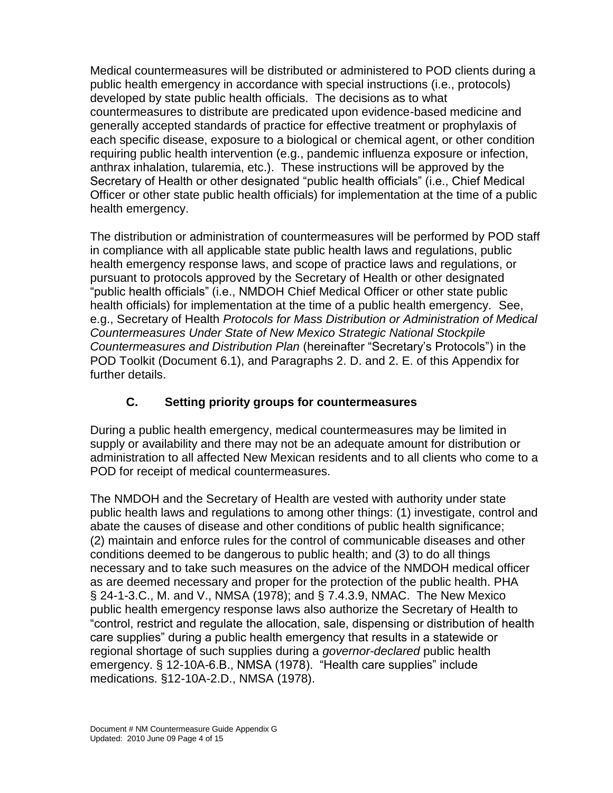Medical countermeasures will be distributed or administered to POD clients during a public health emergency in accordance with special instructions (i.e., protocols) developed by state public health officials. The decisions as to what countermeasures to distribute are predicated upon evidence-based medicine and generally accepted standards of practice for effective treatment or prophylaxis of each specific disease, exposure to a biological or chemical agent, or other condition requiring public health intervention (e.g., pandemic influenza exposure or infection, anthrax inhalation, tularemia, etc.). These instructions will be approved by the Secretary of Health or other designated "public health officials" (i.e., Chief Medical Officer or other state public health officials) for implementation at the time of a public health emergency.

The distribution or administration of countermeasures will be performed by POD staff in compliance with all applicable state public health laws and regulations, public health emergency response laws, and scope of practice laws and regulations, or pursuant to protocols approved by the Secretary of Health or other designated "public health officials" (i.e., NMDOH Chief Medical Officer or other state public health officials) for implementation at the time of a public health emergency. See, e.g., Secretary of Health *Protocols for Mass Distribution or Administration of Medical Countermeasures Under State of New Mexico Strategic National Stockpile Countermeasures and Distribution Plan* (hereinafter "Secretary's Protocols") in the POD Toolkit (Document 6.1), and Paragraphs 2. D. and 2. E. of this Appendix for further details.

## **C. Setting priority groups for countermeasures**

During a public health emergency, medical countermeasures may be limited in supply or availability and there may not be an adequate amount for distribution or administration to all affected New Mexican residents and to all clients who come to a POD for receipt of medical countermeasures.

The NMDOH and the Secretary of Health are vested with authority under state public health laws and regulations to among other things: (1) investigate, control and abate the causes of disease and other conditions of public health significance; (2) maintain and enforce rules for the control of communicable diseases and other conditions deemed to be dangerous to public health; and (3) to do all things necessary and to take such measures on the advice of the NMDOH medical officer as are deemed necessary and proper for the protection of the public health. PHA § 24-1-3.C., M. and V., NMSA (1978); and § 7.4.3.9, NMAC. The New Mexico public health emergency response laws also authorize the Secretary of Health to "control, restrict and regulate the allocation, sale, dispensing or distribution of health care supplies" during a public health emergency that results in a statewide or regional shortage of such supplies during a *governor-declared* public health emergency. § 12-10A-6.B., NMSA (1978). "Health care supplies" include medications. §12-10A-2.D., NMSA (1978).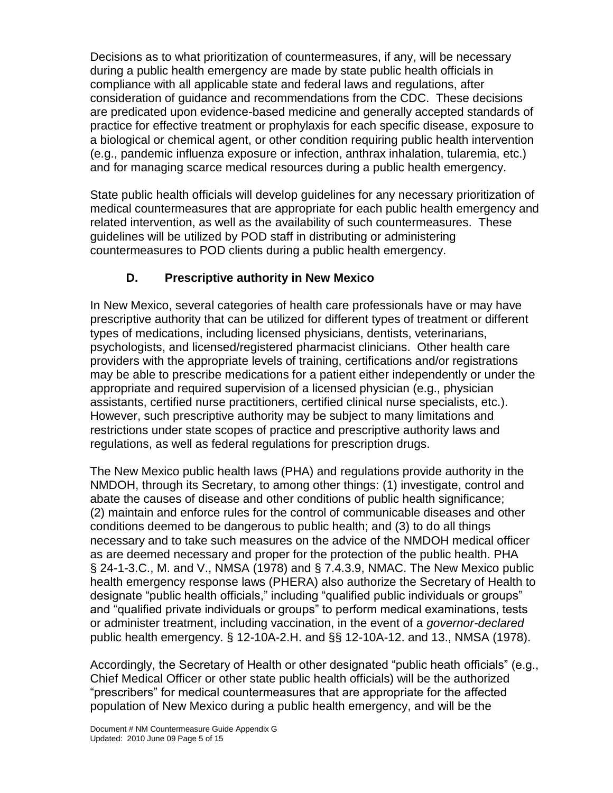Decisions as to what prioritization of countermeasures, if any, will be necessary during a public health emergency are made by state public health officials in compliance with all applicable state and federal laws and regulations, after consideration of guidance and recommendations from the CDC. These decisions are predicated upon evidence-based medicine and generally accepted standards of practice for effective treatment or prophylaxis for each specific disease, exposure to a biological or chemical agent, or other condition requiring public health intervention (e.g., pandemic influenza exposure or infection, anthrax inhalation, tularemia, etc.) and for managing scarce medical resources during a public health emergency.

State public health officials will develop guidelines for any necessary prioritization of medical countermeasures that are appropriate for each public health emergency and related intervention, as well as the availability of such countermeasures. These guidelines will be utilized by POD staff in distributing or administering countermeasures to POD clients during a public health emergency.

## **D. Prescriptive authority in New Mexico**

In New Mexico, several categories of health care professionals have or may have prescriptive authority that can be utilized for different types of treatment or different types of medications, including licensed physicians, dentists, veterinarians, psychologists, and licensed/registered pharmacist clinicians. Other health care providers with the appropriate levels of training, certifications and/or registrations may be able to prescribe medications for a patient either independently or under the appropriate and required supervision of a licensed physician (e.g., physician assistants, certified nurse practitioners, certified clinical nurse specialists, etc.). However, such prescriptive authority may be subject to many limitations and restrictions under state scopes of practice and prescriptive authority laws and regulations, as well as federal regulations for prescription drugs.

The New Mexico public health laws (PHA) and regulations provide authority in the NMDOH, through its Secretary, to among other things: (1) investigate, control and abate the causes of disease and other conditions of public health significance; (2) maintain and enforce rules for the control of communicable diseases and other conditions deemed to be dangerous to public health; and (3) to do all things necessary and to take such measures on the advice of the NMDOH medical officer as are deemed necessary and proper for the protection of the public health. PHA § 24-1-3.C., M. and V., NMSA (1978) and § 7.4.3.9, NMAC. The New Mexico public health emergency response laws (PHERA) also authorize the Secretary of Health to designate "public health officials," including "qualified public individuals or groups" and "qualified private individuals or groups" to perform medical examinations, tests or administer treatment, including vaccination, in the event of a *governor-declared* public health emergency. § 12-10A-2.H. and §§ 12-10A-12. and 13., NMSA (1978).

Accordingly, the Secretary of Health or other designated "public heath officials" (e.g., Chief Medical Officer or other state public health officials) will be the authorized "prescribers" for medical countermeasures that are appropriate for the affected population of New Mexico during a public health emergency, and will be the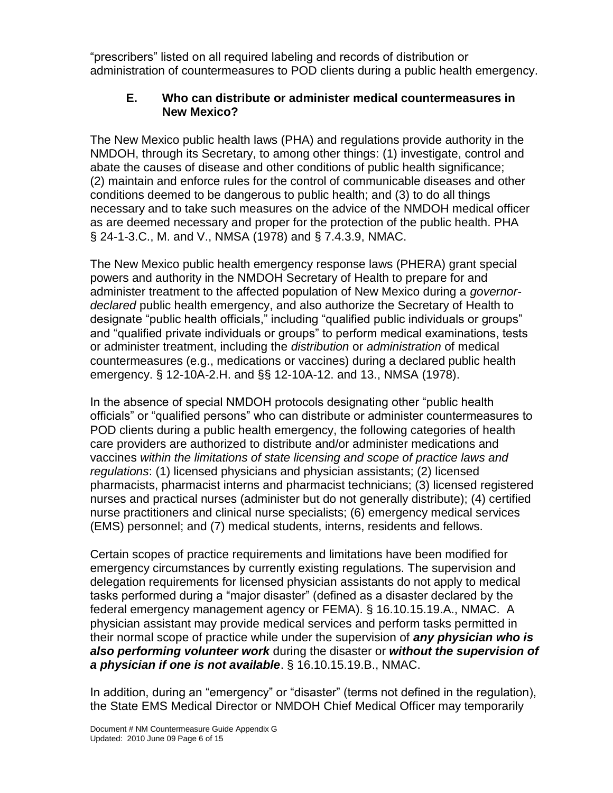"prescribers" listed on all required labeling and records of distribution or administration of countermeasures to POD clients during a public health emergency.

#### **E. Who can distribute or administer medical countermeasures in New Mexico?**

The New Mexico public health laws (PHA) and regulations provide authority in the NMDOH, through its Secretary, to among other things: (1) investigate, control and abate the causes of disease and other conditions of public health significance; (2) maintain and enforce rules for the control of communicable diseases and other conditions deemed to be dangerous to public health; and (3) to do all things necessary and to take such measures on the advice of the NMDOH medical officer as are deemed necessary and proper for the protection of the public health. PHA § 24-1-3.C., M. and V., NMSA (1978) and § 7.4.3.9, NMAC.

The New Mexico public health emergency response laws (PHERA) grant special powers and authority in the NMDOH Secretary of Health to prepare for and administer treatment to the affected population of New Mexico during a *governordeclared* public health emergency, and also authorize the Secretary of Health to designate "public health officials," including "qualified public individuals or groups" and "qualified private individuals or groups" to perform medical examinations, tests or administer treatment, including the *distribution* or *administration* of medical countermeasures (e.g., medications or vaccines) during a declared public health emergency. § 12-10A-2.H. and §§ 12-10A-12. and 13., NMSA (1978).

In the absence of special NMDOH protocols designating other "public health officials" or "qualified persons" who can distribute or administer countermeasures to POD clients during a public health emergency, the following categories of health care providers are authorized to distribute and/or administer medications and vaccines *within the limitations of state licensing and scope of practice laws and regulations*: (1) licensed physicians and physician assistants; (2) licensed pharmacists, pharmacist interns and pharmacist technicians; (3) licensed registered nurses and practical nurses (administer but do not generally distribute); (4) certified nurse practitioners and clinical nurse specialists; (6) emergency medical services (EMS) personnel; and (7) medical students, interns, residents and fellows.

Certain scopes of practice requirements and limitations have been modified for emergency circumstances by currently existing regulations. The supervision and delegation requirements for licensed physician assistants do not apply to medical tasks performed during a "major disaster" (defined as a disaster declared by the federal emergency management agency or FEMA). § 16.10.15.19.A., NMAC. A physician assistant may provide medical services and perform tasks permitted in their normal scope of practice while under the supervision of *any physician who is also performing volunteer work* during the disaster or *without the supervision of a physician if one is not available*. § 16.10.15.19.B., NMAC.

In addition, during an "emergency" or "disaster" (terms not defined in the regulation), the State EMS Medical Director or NMDOH Chief Medical Officer may temporarily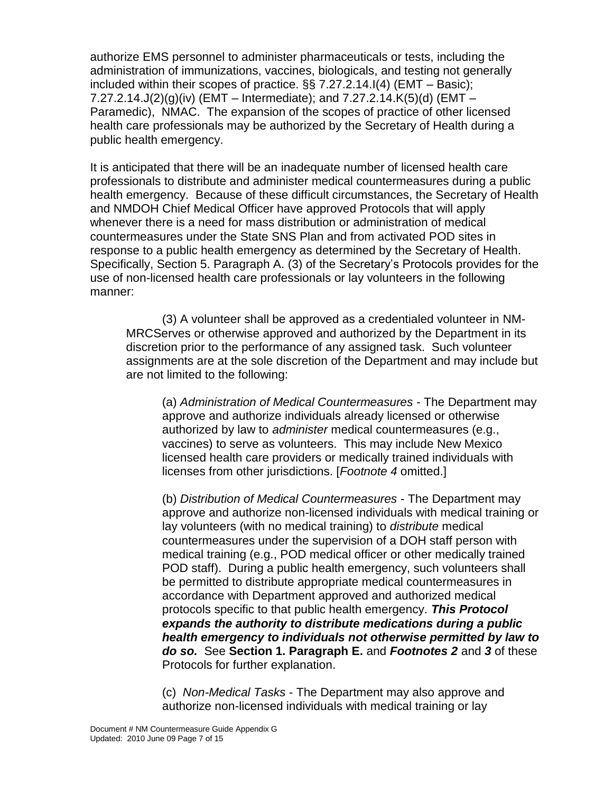authorize EMS personnel to administer pharmaceuticals or tests, including the administration of immunizations, vaccines, biologicals, and testing not generally included within their scopes of practice.  $\S$  7.27.2.14.I(4) (EMT – Basic); 7.27.2.14.J(2)(g)(iv) (EMT – Intermediate); and 7.27.2.14.K(5)(d) (EMT – Paramedic), NMAC. The expansion of the scopes of practice of other licensed health care professionals may be authorized by the Secretary of Health during a public health emergency.

It is anticipated that there will be an inadequate number of licensed health care professionals to distribute and administer medical countermeasures during a public health emergency. Because of these difficult circumstances, the Secretary of Health and NMDOH Chief Medical Officer have approved Protocols that will apply whenever there is a need for mass distribution or administration of medical countermeasures under the State SNS Plan and from activated POD sites in response to a public health emergency as determined by the Secretary of Health. Specifically, Section 5. Paragraph A. (3) of the Secretary's Protocols provides for the use of non-licensed health care professionals or lay volunteers in the following manner:

(3) A volunteer shall be approved as a credentialed volunteer in NM-MRCServes or otherwise approved and authorized by the Department in its discretion prior to the performance of any assigned task. Such volunteer assignments are at the sole discretion of the Department and may include but are not limited to the following:

(a) *Administration of Medical Countermeasures* - The Department may approve and authorize individuals already licensed or otherwise authorized by law to *administer* medical countermeasures (e.g., vaccines) to serve as volunteers. This may include New Mexico licensed health care providers or medically trained individuals with licenses from other jurisdictions. [*Footnote 4* omitted.]

(b) *Distribution of Medical Countermeasures* - The Department may approve and authorize non-licensed individuals with medical training or lay volunteers (with no medical training) to *distribute* medical countermeasures under the supervision of a DOH staff person with medical training (e.g., POD medical officer or other medically trained POD staff). During a public health emergency, such volunteers shall be permitted to distribute appropriate medical countermeasures in accordance with Department approved and authorized medical protocols specific to that public health emergency. *This Protocol expands the authority to distribute medications during a public health emergency to individuals not otherwise permitted by law to do so.* See **Section 1. Paragraph E.** and *Footnotes 2* and *3* of these Protocols for further explanation.

(c) *Non-Medical Tasks* - The Department may also approve and authorize non-licensed individuals with medical training or lay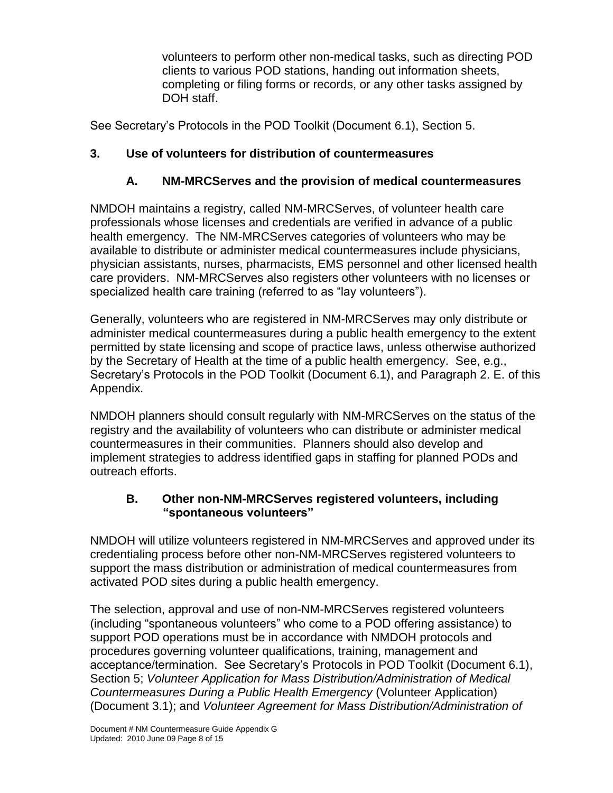volunteers to perform other non-medical tasks, such as directing POD clients to various POD stations, handing out information sheets, completing or filing forms or records, or any other tasks assigned by DOH staff.

See Secretary's Protocols in the POD Toolkit (Document 6.1), Section 5.

## **3. Use of volunteers for distribution of countermeasures**

## **A. NM-MRCServes and the provision of medical countermeasures**

NMDOH maintains a registry, called NM-MRCServes, of volunteer health care professionals whose licenses and credentials are verified in advance of a public health emergency. The NM-MRCServes categories of volunteers who may be available to distribute or administer medical countermeasures include physicians, physician assistants, nurses, pharmacists, EMS personnel and other licensed health care providers. NM-MRCServes also registers other volunteers with no licenses or specialized health care training (referred to as "lay volunteers").

Generally, volunteers who are registered in NM-MRCServes may only distribute or administer medical countermeasures during a public health emergency to the extent permitted by state licensing and scope of practice laws, unless otherwise authorized by the Secretary of Health at the time of a public health emergency. See, e.g., Secretary's Protocols in the POD Toolkit (Document 6.1), and Paragraph 2. E. of this Appendix.

NMDOH planners should consult regularly with NM-MRCServes on the status of the registry and the availability of volunteers who can distribute or administer medical countermeasures in their communities. Planners should also develop and implement strategies to address identified gaps in staffing for planned PODs and outreach efforts.

#### **B. Other non-NM-MRCServes registered volunteers, including "spontaneous volunteers"**

NMDOH will utilize volunteers registered in NM-MRCServes and approved under its credentialing process before other non-NM-MRCServes registered volunteers to support the mass distribution or administration of medical countermeasures from activated POD sites during a public health emergency.

The selection, approval and use of non-NM-MRCServes registered volunteers (including "spontaneous volunteers" who come to a POD offering assistance) to support POD operations must be in accordance with NMDOH protocols and procedures governing volunteer qualifications, training, management and acceptance/termination. See Secretary's Protocols in POD Toolkit (Document 6.1), Section 5; *Volunteer Application for Mass Distribution/Administration of Medical Countermeasures During a Public Health Emergency* (Volunteer Application) (Document 3.1); and *Volunteer Agreement for Mass Distribution/Administration of*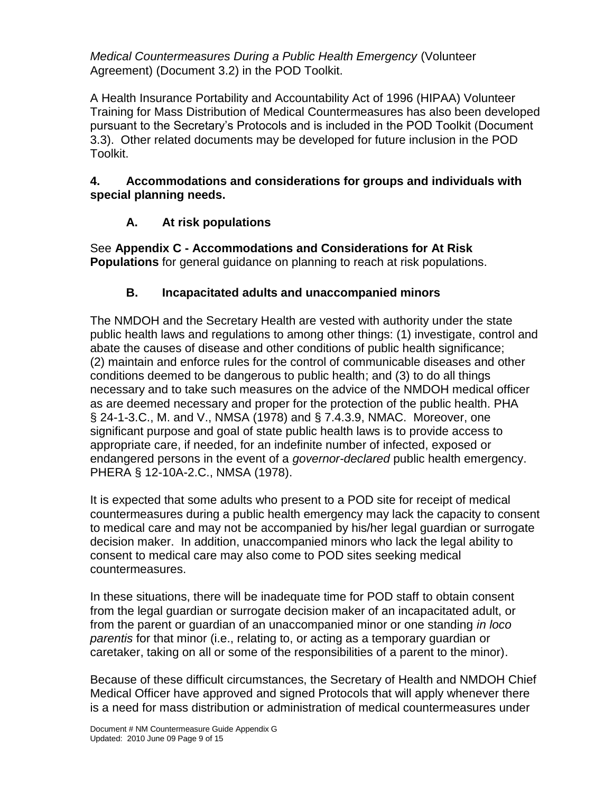*Medical Countermeasures During a Public Health Emergency* (Volunteer Agreement) (Document 3.2) in the POD Toolkit.

A Health Insurance Portability and Accountability Act of 1996 (HIPAA) Volunteer Training for Mass Distribution of Medical Countermeasures has also been developed pursuant to the Secretary's Protocols and is included in the POD Toolkit (Document 3.3). Other related documents may be developed for future inclusion in the POD Toolkit.

#### **4. Accommodations and considerations for groups and individuals with special planning needs.**

## **A. At risk populations**

See **Appendix C - Accommodations and Considerations for At Risk Populations** for general guidance on planning to reach at risk populations.

## **B. Incapacitated adults and unaccompanied minors**

The NMDOH and the Secretary Health are vested with authority under the state public health laws and regulations to among other things: (1) investigate, control and abate the causes of disease and other conditions of public health significance; (2) maintain and enforce rules for the control of communicable diseases and other conditions deemed to be dangerous to public health; and (3) to do all things necessary and to take such measures on the advice of the NMDOH medical officer as are deemed necessary and proper for the protection of the public health. PHA § 24-1-3.C., M. and V., NMSA (1978) and § 7.4.3.9, NMAC. Moreover, one significant purpose and goal of state public health laws is to provide access to appropriate care, if needed, for an indefinite number of infected, exposed or endangered persons in the event of a *governor-declared* public health emergency. PHERA § 12-10A-2.C., NMSA (1978).

It is expected that some adults who present to a POD site for receipt of medical countermeasures during a public health emergency may lack the capacity to consent to medical care and may not be accompanied by his/her legal guardian or surrogate decision maker. In addition, unaccompanied minors who lack the legal ability to consent to medical care may also come to POD sites seeking medical countermeasures.

In these situations, there will be inadequate time for POD staff to obtain consent from the legal guardian or surrogate decision maker of an incapacitated adult, or from the parent or guardian of an unaccompanied minor or one standing *in loco parentis* for that minor (i.e., relating to, or acting as a temporary guardian or caretaker, taking on all or some of the responsibilities of a parent to the minor).

Because of these difficult circumstances, the Secretary of Health and NMDOH Chief Medical Officer have approved and signed Protocols that will apply whenever there is a need for mass distribution or administration of medical countermeasures under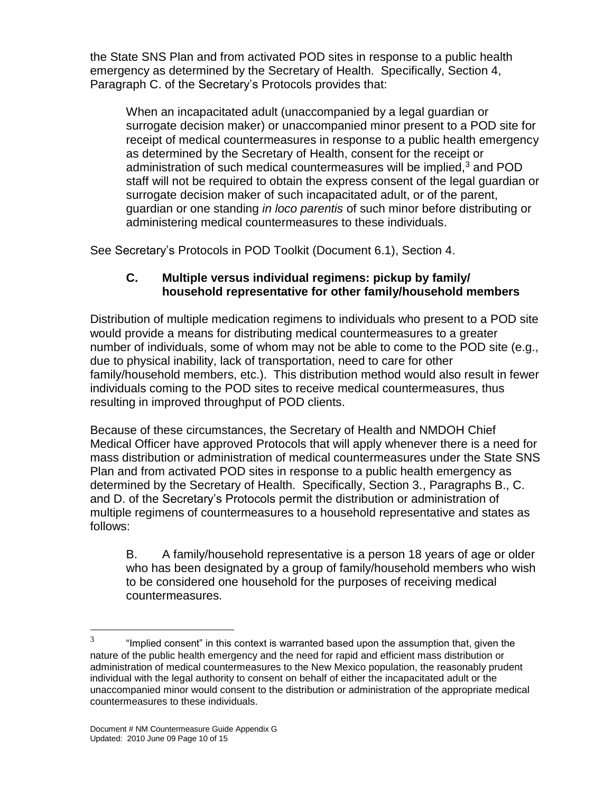the State SNS Plan and from activated POD sites in response to a public health emergency as determined by the Secretary of Health. Specifically, Section 4, Paragraph C. of the Secretary's Protocols provides that:

When an incapacitated adult (unaccompanied by a legal guardian or surrogate decision maker) or unaccompanied minor present to a POD site for receipt of medical countermeasures in response to a public health emergency as determined by the Secretary of Health, consent for the receipt or administration of such medical countermeasures will be implied, $3$  and POD staff will not be required to obtain the express consent of the legal guardian or surrogate decision maker of such incapacitated adult, or of the parent, guardian or one standing *in loco parentis* of such minor before distributing or administering medical countermeasures to these individuals.

See Secretary's Protocols in POD Toolkit (Document 6.1), Section 4.

#### **C. Multiple versus individual regimens: pickup by family/ household representative for other family/household members**

Distribution of multiple medication regimens to individuals who present to a POD site would provide a means for distributing medical countermeasures to a greater number of individuals, some of whom may not be able to come to the POD site (e.g., due to physical inability, lack of transportation, need to care for other family/household members, etc.). This distribution method would also result in fewer individuals coming to the POD sites to receive medical countermeasures, thus resulting in improved throughput of POD clients.

Because of these circumstances, the Secretary of Health and NMDOH Chief Medical Officer have approved Protocols that will apply whenever there is a need for mass distribution or administration of medical countermeasures under the State SNS Plan and from activated POD sites in response to a public health emergency as determined by the Secretary of Health. Specifically, Section 3., Paragraphs B., C. and D. of the Secretary's Protocols permit the distribution or administration of multiple regimens of countermeasures to a household representative and states as follows:

B. A family/household representative is a person 18 years of age or older who has been designated by a group of family/household members who wish to be considered one household for the purposes of receiving medical countermeasures.

 $\overline{a}$ 

<sup>3</sup> "Implied consent" in this context is warranted based upon the assumption that, given the nature of the public health emergency and the need for rapid and efficient mass distribution or administration of medical countermeasures to the New Mexico population, the reasonably prudent individual with the legal authority to consent on behalf of either the incapacitated adult or the unaccompanied minor would consent to the distribution or administration of the appropriate medical countermeasures to these individuals.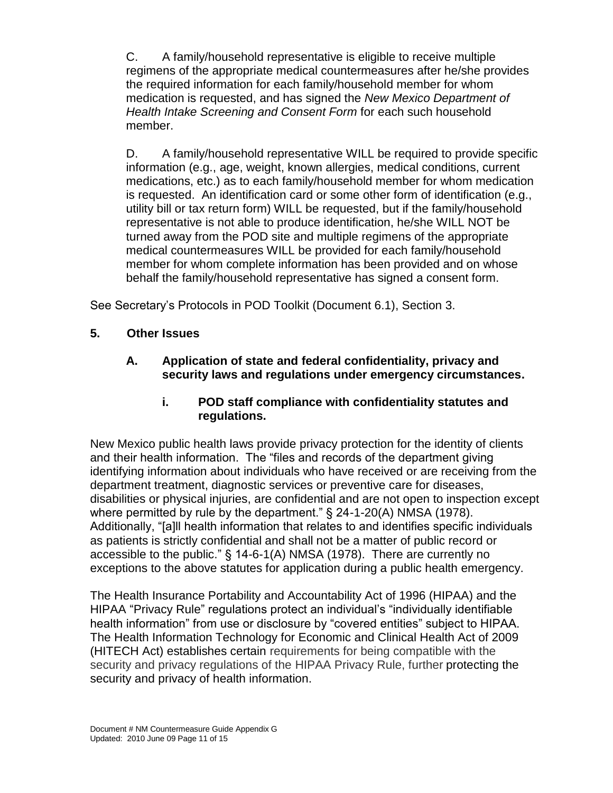C. A family/household representative is eligible to receive multiple regimens of the appropriate medical countermeasures after he/she provides the required information for each family/household member for whom medication is requested, and has signed the *New Mexico Department of Health Intake Screening and Consent Form* for each such household member.

D. A family/household representative WILL be required to provide specific information (e.g., age, weight, known allergies, medical conditions, current medications, etc.) as to each family/household member for whom medication is requested. An identification card or some other form of identification (e.g., utility bill or tax return form) WILL be requested, but if the family/household representative is not able to produce identification, he/she WILL NOT be turned away from the POD site and multiple regimens of the appropriate medical countermeasures WILL be provided for each family/household member for whom complete information has been provided and on whose behalf the family/household representative has signed a consent form.

See Secretary's Protocols in POD Toolkit (Document 6.1), Section 3.

- **5. Other Issues**
	- **A. Application of state and federal confidentiality, privacy and security laws and regulations under emergency circumstances.**
		- **i. POD staff compliance with confidentiality statutes and regulations.**

New Mexico public health laws provide privacy protection for the identity of clients and their health information. The "files and records of the department giving identifying information about individuals who have received or are receiving from the department treatment, diagnostic services or preventive care for diseases, disabilities or physical injuries, are confidential and are not open to inspection except where permitted by rule by the department." § 24-1-20(A) NMSA (1978). Additionally, "[a]ll health information that relates to and identifies specific individuals as patients is strictly confidential and shall not be a matter of public record or accessible to the public." § 14-6-1(A) NMSA (1978). There are currently no exceptions to the above statutes for application during a public health emergency.

The Health Insurance Portability and Accountability Act of 1996 (HIPAA) and the HIPAA "Privacy Rule" regulations protect an individual's "individually identifiable health information" from use or disclosure by "covered entities" subject to HIPAA. The Health Information Technology for Economic and Clinical Health Act of 2009 (HITECH Act) establishes certain requirements for being compatible with the security and privacy regulations of the HIPAA Privacy Rule, further protecting the security and privacy of health information.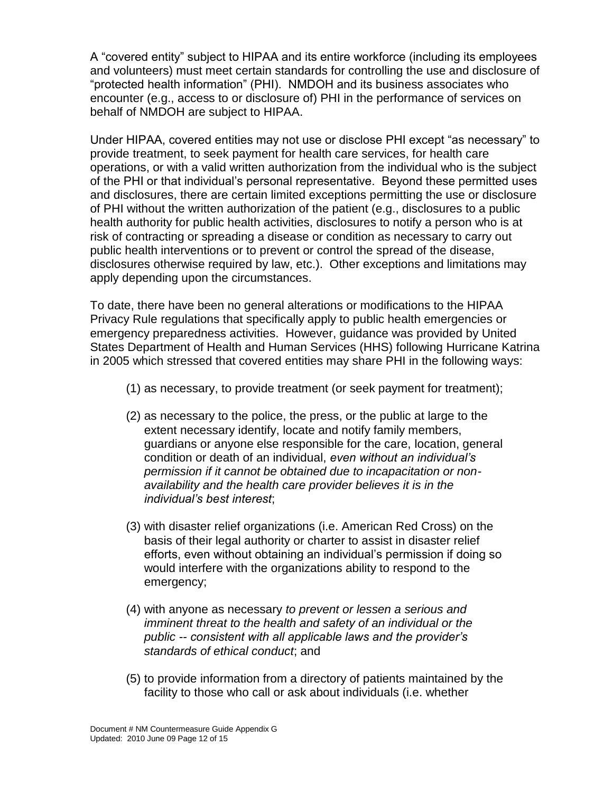A "covered entity" subject to HIPAA and its entire workforce (including its employees and volunteers) must meet certain standards for controlling the use and disclosure of "protected health information" (PHI). NMDOH and its business associates who encounter (e.g., access to or disclosure of) PHI in the performance of services on behalf of NMDOH are subject to HIPAA.

Under HIPAA, covered entities may not use or disclose PHI except "as necessary" to provide treatment, to seek payment for health care services, for health care operations, or with a valid written authorization from the individual who is the subject of the PHI or that individual's personal representative. Beyond these permitted uses and disclosures, there are certain limited exceptions permitting the use or disclosure of PHI without the written authorization of the patient (e.g., disclosures to a public health authority for public health activities, disclosures to notify a person who is at risk of contracting or spreading a disease or condition as necessary to carry out public health interventions or to prevent or control the spread of the disease, disclosures otherwise required by law, etc.). Other exceptions and limitations may apply depending upon the circumstances.

To date, there have been no general alterations or modifications to the HIPAA Privacy Rule regulations that specifically apply to public health emergencies or emergency preparedness activities. However, guidance was provided by United States Department of Health and Human Services (HHS) following Hurricane Katrina in 2005 which stressed that covered entities may share PHI in the following ways:

- (1) as necessary, to provide treatment (or seek payment for treatment);
- (2) as necessary to the police, the press, or the public at large to the extent necessary identify, locate and notify family members, guardians or anyone else responsible for the care, location, general condition or death of an individual, *even without an individual's permission if it cannot be obtained due to incapacitation or nonavailability and the health care provider believes it is in the individual's best interest*;
- (3) with disaster relief organizations (i.e. American Red Cross) on the basis of their legal authority or charter to assist in disaster relief efforts, even without obtaining an individual's permission if doing so would interfere with the organizations ability to respond to the emergency;
- (4) with anyone as necessary *to prevent or lessen a serious and imminent threat to the health and safety of an individual or the public -- consistent with all applicable laws and the provider's standards of ethical conduct*; and
- (5) to provide information from a directory of patients maintained by the facility to those who call or ask about individuals (i.e. whether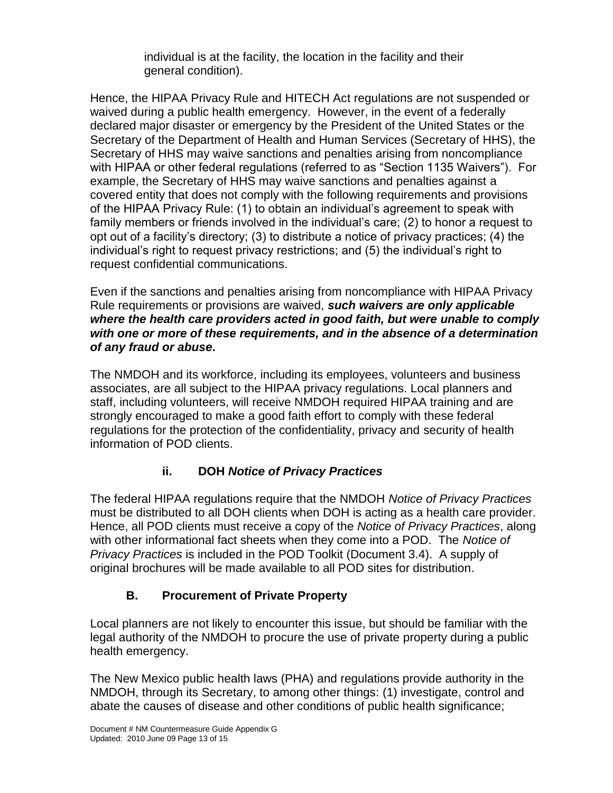individual is at the facility, the location in the facility and their general condition).

Hence, the HIPAA Privacy Rule and HITECH Act regulations are not suspended or waived during a public health emergency. However, in the event of a federally declared major disaster or emergency by the President of the United States or the Secretary of the Department of Health and Human Services (Secretary of HHS), the Secretary of HHS may waive sanctions and penalties arising from noncompliance with HIPAA or other federal regulations (referred to as "Section 1135 Waivers"). For example, the Secretary of HHS may waive sanctions and penalties against a covered entity that does not comply with the following requirements and provisions of the HIPAA Privacy Rule: (1) to obtain an individual's agreement to speak with family members or friends involved in the individual's care; (2) to honor a request to opt out of a facility's directory; (3) to distribute a notice of privacy practices; (4) the individual's right to request privacy restrictions; and (5) the individual's right to request confidential communications.

Even if the sanctions and penalties arising from noncompliance with HIPAA Privacy Rule requirements or provisions are waived, *such waivers are only applicable where the health care providers acted in good faith, but were unable to comply with one or more of these requirements, and in the absence of a determination of any fraud or abuse***.** 

The NMDOH and its workforce, including its employees, volunteers and business associates, are all subject to the HIPAA privacy regulations. Local planners and staff, including volunteers, will receive NMDOH required HIPAA training and are strongly encouraged to make a good faith effort to comply with these federal regulations for the protection of the confidentiality, privacy and security of health information of POD clients.

## **ii. DOH** *Notice of Privacy Practices*

The federal HIPAA regulations require that the NMDOH *Notice of Privacy Practices* must be distributed to all DOH clients when DOH is acting as a health care provider. Hence, all POD clients must receive a copy of the *Notice of Privacy Practices*, along with other informational fact sheets when they come into a POD. The *Notice of Privacy Practices* is included in the POD Toolkit (Document 3.4). A supply of original brochures will be made available to all POD sites for distribution.

## **B. Procurement of Private Property**

Local planners are not likely to encounter this issue, but should be familiar with the legal authority of the NMDOH to procure the use of private property during a public health emergency.

The New Mexico public health laws (PHA) and regulations provide authority in the NMDOH, through its Secretary, to among other things: (1) investigate, control and abate the causes of disease and other conditions of public health significance;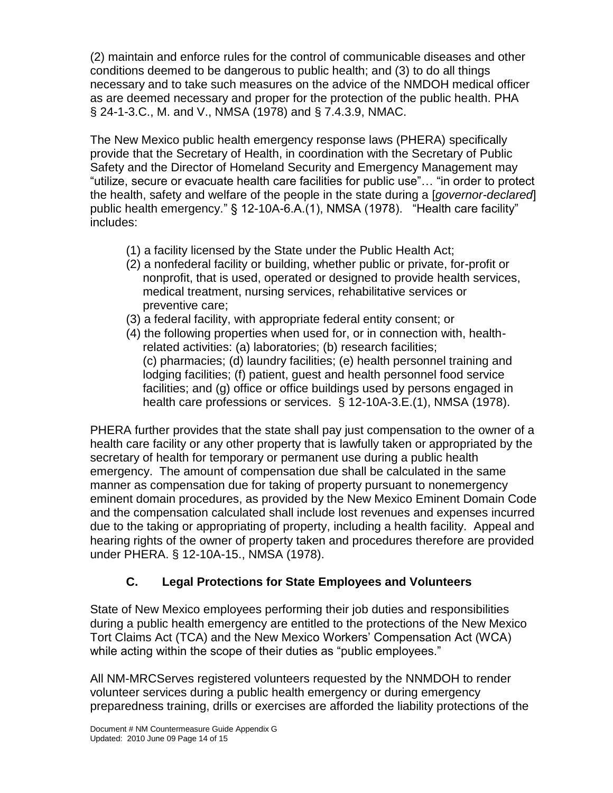(2) maintain and enforce rules for the control of communicable diseases and other conditions deemed to be dangerous to public health; and (3) to do all things necessary and to take such measures on the advice of the NMDOH medical officer as are deemed necessary and proper for the protection of the public health. PHA § 24-1-3.C., M. and V., NMSA (1978) and § 7.4.3.9, NMAC.

The New Mexico public health emergency response laws (PHERA) specifically provide that the Secretary of Health, in coordination with the Secretary of Public Safety and the Director of Homeland Security and Emergency Management may "utilize, secure or evacuate health care facilities for public use"… "in order to protect the health, safety and welfare of the people in the state during a [*governor-declared*] public health emergency." § 12-10A-6.A.(1), NMSA (1978). "Health care facility" includes:

- (1) a facility licensed by the State under the Public Health Act;
- (2) a nonfederal facility or building, whether public or private, for-profit or nonprofit, that is used, operated or designed to provide health services, medical treatment, nursing services, rehabilitative services or preventive care;
- (3) a federal facility, with appropriate federal entity consent; or
- (4) the following properties when used for, or in connection with, health related activities: (a) laboratories; (b) research facilities; (c) pharmacies; (d) laundry facilities; (e) health personnel training and lodging facilities; (f) patient, guest and health personnel food service facilities; and (g) office or office buildings used by persons engaged in health care professions or services. § 12-10A-3.E.(1), NMSA (1978).

PHERA further provides that the state shall pay just compensation to the owner of a health care facility or any other property that is lawfully taken or appropriated by the secretary of health for temporary or permanent use during a public health emergency. The amount of compensation due shall be calculated in the same manner as compensation due for taking of property pursuant to nonemergency eminent domain procedures, as provided by the New Mexico Eminent Domain Code and the compensation calculated shall include lost revenues and expenses incurred due to the taking or appropriating of property, including a health facility. Appeal and hearing rights of the owner of property taken and procedures therefore are provided under PHERA. § 12-10A-15., NMSA (1978).

# **C. Legal Protections for State Employees and Volunteers**

State of New Mexico employees performing their job duties and responsibilities during a public health emergency are entitled to the protections of the New Mexico Tort Claims Act (TCA) and the New Mexico Workers' Compensation Act (WCA) while acting within the scope of their duties as "public employees."

All NM-MRCServes registered volunteers requested by the NNMDOH to render volunteer services during a public health emergency or during emergency preparedness training, drills or exercises are afforded the liability protections of the